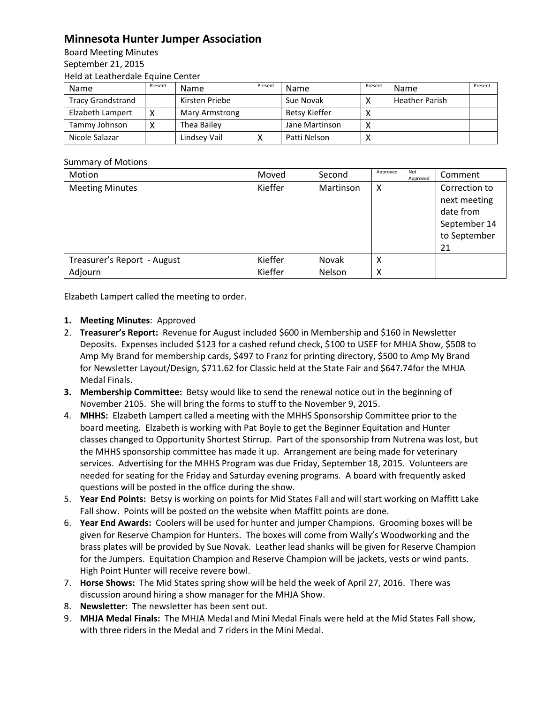## **Minnesota Hunter Jumper Association**

Board Meeting Minutes September 21, 2015 Held at Leatherdale Equine Center

| Name                     | Present | <b>Name</b>           | Present | Name           | Present     | Name                  | Present |
|--------------------------|---------|-----------------------|---------|----------------|-------------|-----------------------|---------|
| <b>Tracy Grandstrand</b> |         | Kirsten Priebe        |         | Sue Novak      |             | <b>Heather Parish</b> |         |
| Elzabeth Lampert         |         | <b>Mary Armstrong</b> |         | Betsy Kieffer  |             |                       |         |
| Tammy Johnson            |         | Thea Bailey           |         | Jane Martinson | $\check{ }$ |                       |         |
| Nicole Salazar           |         | Lindsey Vail          |         | Patti Nelson   |             |                       |         |

## Summary of Motions

| Motion                      | Moved   | Second       | Approved | Not<br>Approved | Comment                                                                          |
|-----------------------------|---------|--------------|----------|-----------------|----------------------------------------------------------------------------------|
| <b>Meeting Minutes</b>      | Kieffer | Martinson    | X        |                 | Correction to<br>next meeting<br>date from<br>September 14<br>to September<br>21 |
| Treasurer's Report - August | Kieffer | <b>Novak</b> | X        |                 |                                                                                  |
| Adjourn                     | Kieffer | Nelson       | х        |                 |                                                                                  |

Elzabeth Lampert called the meeting to order.

## **1. Meeting Minutes**: Approved

- 2. **Treasurer's Report:** Revenue for August included \$600 in Membership and \$160 in Newsletter Deposits. Expenses included \$123 for a cashed refund check, \$100 to USEF for MHJA Show, \$508 to Amp My Brand for membership cards, \$497 to Franz for printing directory, \$500 to Amp My Brand for Newsletter Layout/Design, \$711.62 for Classic held at the State Fair and \$647.74for the MHJA Medal Finals.
- **3. Membership Committee:** Betsy would like to send the renewal notice out in the beginning of November 2105. She will bring the forms to stuff to the November 9, 2015.
- 4. **MHHS:** Elzabeth Lampert called a meeting with the MHHS Sponsorship Committee prior to the board meeting. Elzabeth is working with Pat Boyle to get the Beginner Equitation and Hunter classes changed to Opportunity Shortest Stirrup. Part of the sponsorship from Nutrena was lost, but the MHHS sponsorship committee has made it up. Arrangement are being made for veterinary services. Advertising for the MHHS Program was due Friday, September 18, 2015. Volunteers are needed for seating for the Friday and Saturday evening programs. A board with frequently asked questions will be posted in the office during the show.
- 5. **Year End Points:** Betsy is working on points for Mid States Fall and will start working on Maffitt Lake Fall show. Points will be posted on the website when Maffitt points are done.
- 6. **Year End Awards:** Coolers will be used for hunter and jumper Champions. Grooming boxes will be given for Reserve Champion for Hunters. The boxes will come from Wally's Woodworking and the brass plates will be provided by Sue Novak. Leather lead shanks will be given for Reserve Champion for the Jumpers. Equitation Champion and Reserve Champion will be jackets, vests or wind pants. High Point Hunter will receive revere bowl.
- 7. **Horse Shows:** The Mid States spring show will be held the week of April 27, 2016. There was discussion around hiring a show manager for the MHJA Show.
- 8. **Newsletter:** The newsletter has been sent out.
- 9. **MHJA Medal Finals:** The MHJA Medal and Mini Medal Finals were held at the Mid States Fall show, with three riders in the Medal and 7 riders in the Mini Medal.